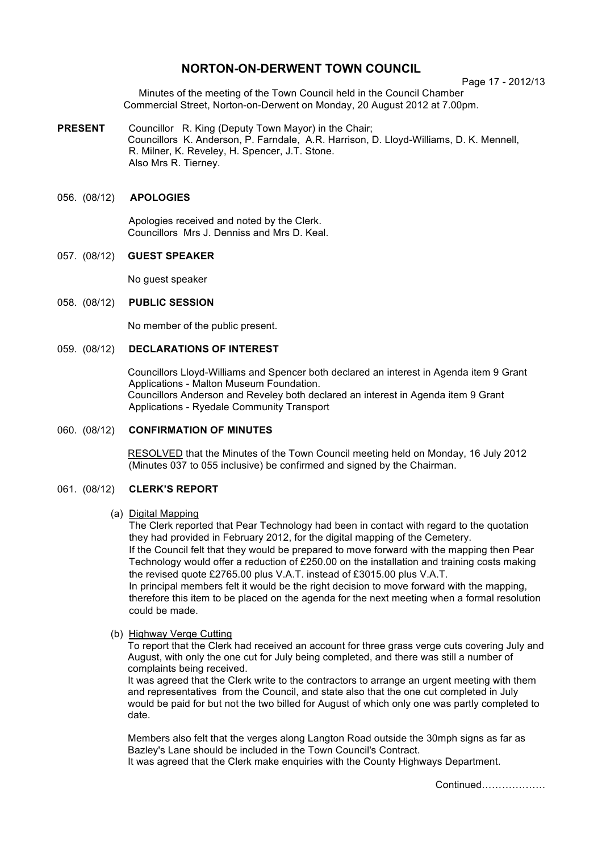# **NORTON-ON-DERWENT TOWN COUNCIL**

Page 17 - 2012/13

Minutes of the meeting of the Town Council held in the Council Chamber Commercial Street, Norton-on-Derwent on Monday, 20 August 2012 at 7.00pm.

**PRESENT** Councillor R. King (Deputy Town Mayor) in the Chair; Councillors K. Anderson, P. Farndale, A.R. Harrison, D. Lloyd-Williams, D. K. Mennell, R. Milner, K. Reveley, H. Spencer, J.T. Stone. Also Mrs R. Tierney.

# 056. (08/12) **APOLOGIES**

 Apologies received and noted by the Clerk. Councillors Mrs J. Denniss and Mrs D. Keal.

# 057. (08/12) **GUEST SPEAKER**

No guest speaker

# 058. (08/12) **PUBLIC SESSION**

No member of the public present.

# 059. (08/12) **DECLARATIONS OF INTEREST**

 Councillors Lloyd-Williams and Spencer both declared an interest in Agenda item 9 Grant Applications - Malton Museum Foundation. Councillors Anderson and Reveley both declared an interest in Agenda item 9 Grant Applications - Ryedale Community Transport

# 060. (08/12) **CONFIRMATION OF MINUTES**

 RESOLVED that the Minutes of the Town Council meeting held on Monday, 16 July 2012 (Minutes 037 to 055 inclusive) be confirmed and signed by the Chairman.

# 061. (08/12) **CLERK'S REPORT**

# (a) Digital Mapping

could be made.

The Clerk reported that Pear Technology had been in contact with regard to the quotation they had provided in February 2012, for the digital mapping of the Cemetery. If the Council felt that they would be prepared to move forward with the mapping then Pear Technology would offer a reduction of £250.00 on the installation and training costs making the revised quote £2765.00 plus V.A.T. instead of £3015.00 plus V.A.T. In principal members felt it would be the right decision to move forward with the mapping, therefore this item to be placed on the agenda for the next meeting when a formal resolution

(b) Highway Verge Cutting

To report that the Clerk had received an account for three grass verge cuts covering July and August, with only the one cut for July being completed, and there was still a number of complaints being received.

It was agreed that the Clerk write to the contractors to arrange an urgent meeting with them and representatives from the Council, and state also that the one cut completed in July would be paid for but not the two billed for August of which only one was partly completed to date.

Members also felt that the verges along Langton Road outside the 30mph signs as far as Bazley's Lane should be included in the Town Council's Contract. It was agreed that the Clerk make enquiries with the County Highways Department.

Continued……………….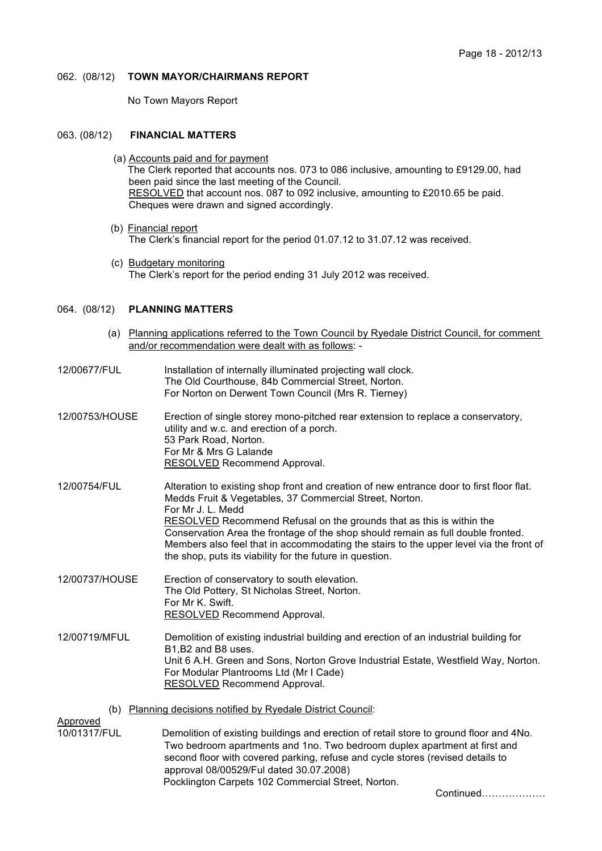### 062. (08/12) **TOWN MAYOR/CHAIRMANS REPORT**

No Town Mayors Report

### 063. (08/12) **FINANCIAL MATTERS**

- (a) Accounts paid and for payment The Clerk reported that accounts nos. 073 to 086 inclusive, amounting to £9129.00, had been paid since the last meeting of the Council. RESOLVED that account nos. 087 to 092 inclusive, amounting to £2010.65 be paid. Cheques were drawn and signed accordingly.
- (b) Financial report The Clerk's financial report for the period 01.07.12 to 31.07.12 was received.
- (c) Budgetary monitoring The Clerk's report for the period ending 31 July 2012 was received.

### 064. (08/12) **PLANNING MATTERS**

- (a) Planning applications referred to the Town Council by Ryedale District Council, for comment and/or recommendation were dealt with as follows: -
- 12/00677/FUL Installation of internally illuminated projecting wall clock. The Old Courthouse, 84b Commercial Street, Norton. For Norton on Derwent Town Council (Mrs R. Tierney)
- 12/00753/HOUSE Erection of single storey mono-pitched rear extension to replace a conservatory, utility and w.c. and erection of a porch. 53 Park Road, Norton. For Mr & Mrs G Lalande RESOLVED Recommend Approval.
- 12/00754/FUL Alteration to existing shop front and creation of new entrance door to first floor flat. Medds Fruit & Vegetables, 37 Commercial Street, Norton. For Mr J. L. Medd RESOLVED Recommend Refusal on the grounds that as this is within the Conservation Area the frontage of the shop should remain as full double fronted. Members also feel that in accommodating the stairs to the upper level via the front of the shop, puts its viability for the future in question.
- 12/00737/HOUSE Erection of conservatory to south elevation. The Old Pottery, St Nicholas Street, Norton. For Mr K. Swift. RESOLVED Recommend Approval.

12/00719/MFUL Demolition of existing industrial building and erection of an industrial building for B1,B2 and B8 uses. Unit 6 A.H. Green and Sons, Norton Grove Industrial Estate, Westfield Way, Norton. For Modular Plantrooms Ltd (Mr I Cade) RESOLVED Recommend Approval.

(b) Planning decisions notified by Ryedale District Council:

Approved

10/01317/FUL Demolition of existing buildings and erection of retail store to ground floor and 4No. Two bedroom apartments and 1no. Two bedroom duplex apartment at first and second floor with covered parking, refuse and cycle stores (revised details to approval 08/00529/Ful dated 30.07.2008) Pocklington Carpets 102 Commercial Street, Norton.

Continued……………….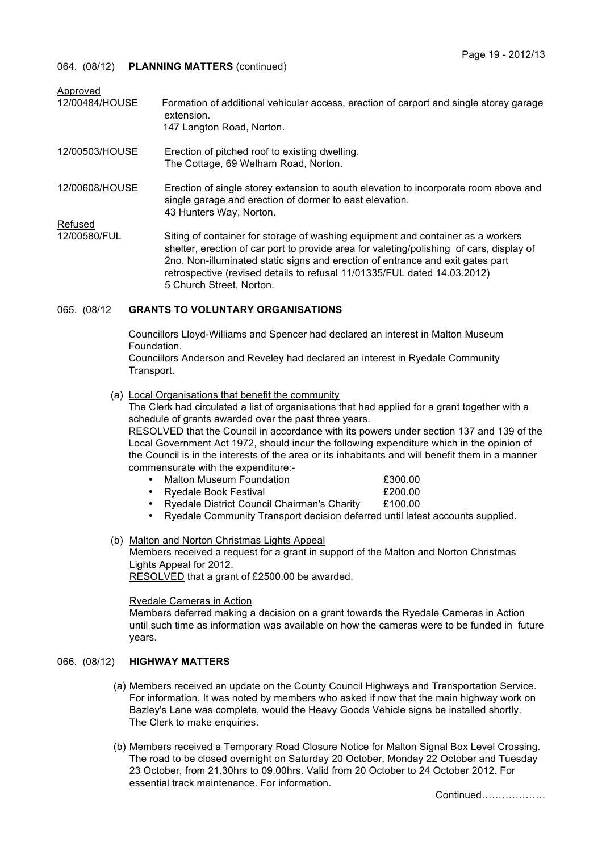# 064. (08/12) **PLANNING MATTERS** (continued)

| Formation of additional vehicular access, erection of carport and single storey garage<br>extension.<br>147 Langton Road, Norton.                                                                                                                                                                                                                                     |
|-----------------------------------------------------------------------------------------------------------------------------------------------------------------------------------------------------------------------------------------------------------------------------------------------------------------------------------------------------------------------|
| Erection of pitched roof to existing dwelling.<br>The Cottage, 69 Welham Road, Norton.                                                                                                                                                                                                                                                                                |
| Erection of single storey extension to south elevation to incorporate room above and<br>single garage and erection of dormer to east elevation.<br>43 Hunters Way, Norton.                                                                                                                                                                                            |
| Siting of container for storage of washing equipment and container as a workers<br>shelter, erection of car port to provide area for valeting/polishing of cars, display of<br>2no. Non-illuminated static signs and erection of entrance and exit gates part<br>retrospective (revised details to refusal 11/01335/FUL dated 14.03.2012)<br>5 Church Street, Norton. |
|                                                                                                                                                                                                                                                                                                                                                                       |

# 065. (08/12 **GRANTS TO VOLUNTARY ORGANISATIONS**

Councillors Lloyd-Williams and Spencer had declared an interest in Malton Museum Foundation.

Councillors Anderson and Reveley had declared an interest in Ryedale Community Transport.

(a) Local Organisations that benefit the community

The Clerk had circulated a list of organisations that had applied for a grant together with a schedule of grants awarded over the past three years.

RESOLVED that the Council in accordance with its powers under section 137 and 139 of the Local Government Act 1972, should incur the following expenditure which in the opinion of the Council is in the interests of the area or its inhabitants and will benefit them in a manner commensurate with the expenditure:-

- Malton Museum Foundation £300.00<br>• Ryedale Book Festival £200.00
- Ryedale Book Festival
- Ryedale District Council Chairman's Charity £100.00
- Ryedale Community Transport decision deferred until latest accounts supplied.
- (b) Malton and Norton Christmas Lights Appeal Members received a request for a grant in support of the Malton and Norton Christmas Lights Appeal for 2012. RESOLVED that a grant of £2500.00 be awarded.

# Ryedale Cameras in Action

Members deferred making a decision on a grant towards the Ryedale Cameras in Action until such time as information was available on how the cameras were to be funded in future years.

# 066. (08/12) **HIGHWAY MATTERS**

- (a) Members received an update on the County Council Highways and Transportation Service. For information. It was noted by members who asked if now that the main highway work on Bazley's Lane was complete, would the Heavy Goods Vehicle signs be installed shortly. The Clerk to make enquiries.
- (b) Members received a Temporary Road Closure Notice for Malton Signal Box Level Crossing. The road to be closed overnight on Saturday 20 October, Monday 22 October and Tuesday 23 October, from 21.30hrs to 09.00hrs. Valid from 20 October to 24 October 2012. For essential track maintenance. For information.

Continued……………….